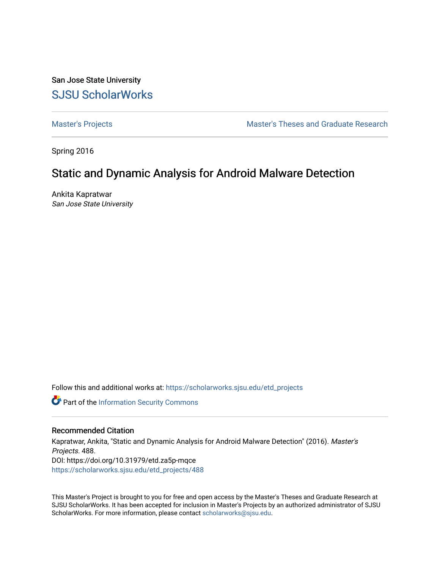San Jose State University [SJSU ScholarWorks](https://scholarworks.sjsu.edu/) 

[Master's Projects](https://scholarworks.sjsu.edu/etd_projects) [Master's Theses and Graduate Research](https://scholarworks.sjsu.edu/etd) 

Spring 2016

# Static and Dynamic Analysis for Android Malware Detection

Ankita Kapratwar San Jose State University

Follow this and additional works at: [https://scholarworks.sjsu.edu/etd\\_projects](https://scholarworks.sjsu.edu/etd_projects?utm_source=scholarworks.sjsu.edu%2Fetd_projects%2F488&utm_medium=PDF&utm_campaign=PDFCoverPages) 

Part of the [Information Security Commons](http://network.bepress.com/hgg/discipline/1247?utm_source=scholarworks.sjsu.edu%2Fetd_projects%2F488&utm_medium=PDF&utm_campaign=PDFCoverPages) 

#### Recommended Citation

Kapratwar, Ankita, "Static and Dynamic Analysis for Android Malware Detection" (2016). Master's Projects. 488. DOI: https://doi.org/10.31979/etd.za5p-mqce [https://scholarworks.sjsu.edu/etd\\_projects/488](https://scholarworks.sjsu.edu/etd_projects/488?utm_source=scholarworks.sjsu.edu%2Fetd_projects%2F488&utm_medium=PDF&utm_campaign=PDFCoverPages) 

This Master's Project is brought to you for free and open access by the Master's Theses and Graduate Research at SJSU ScholarWorks. It has been accepted for inclusion in Master's Projects by an authorized administrator of SJSU ScholarWorks. For more information, please contact [scholarworks@sjsu.edu](mailto:scholarworks@sjsu.edu).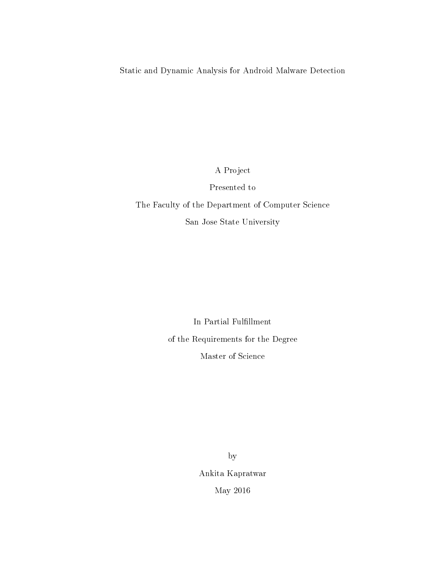Static and Dynamic Analysis for Android Malware Detection

A Project

## Presented to

# The Faculty of the Department of Computer Science San Jose State University

In Partial Fulfillment of the Requirements for the Degree Master of Science

> by Ankita Kapratwar May 2016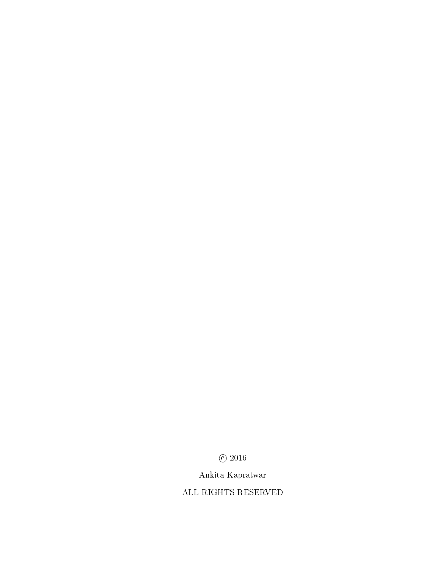$\odot$  2016

# Ankita Kapratwar

ALL RIGHTS RESERVED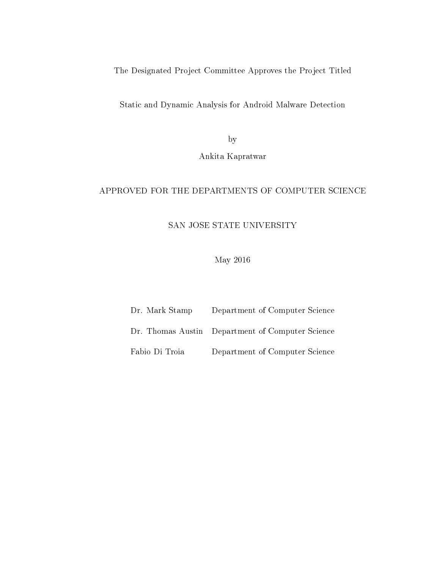The Designated Project Committee Approves the Project Titled

Static and Dynamic Analysis for Android Malware Detection

by

Ankita Kapratwar

## APPROVED FOR THE DEPARTMENTS OF COMPUTER SCIENCE

SAN JOSE STATE UNIVERSITY

May 2016

| Dr. Mark Stamp | Department of Computer Science                   |
|----------------|--------------------------------------------------|
|                | Dr. Thomas Austin Department of Computer Science |
| Fabio Di Troia | Department of Computer Science                   |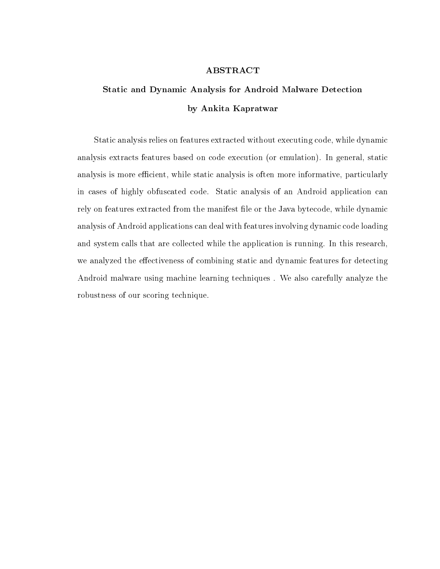#### ABSTRACT

# Static and Dynamic Analysis for Android Malware Detection by Ankita Kapratwar

Static analysis relies on features extracted without executing code, while dynamic analysis extracts features based on code execution (or emulation). In general, static analysis is more efficient, while static analysis is often more informative, particularly in cases of highly obfuscated code. Static analysis of an Android application can rely on features extracted from the manifest file or the Java bytecode, while dynamic analysis of Android applications can deal with features involving dynamic code loading and system calls that are collected while the application is running. In this research, we analyzed the effectiveness of combining static and dynamic features for detecting Android malware using machine learning techniques . We also carefully analyze the robustness of our scoring technique.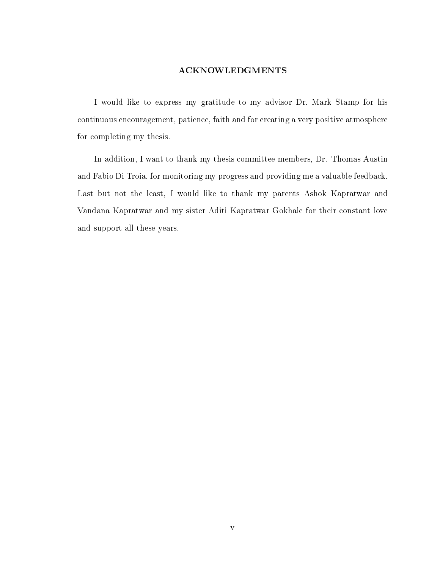#### ACKNOWLEDGMENTS

I would like to express my gratitude to my advisor Dr. Mark Stamp for his continuous encouragement, patience, faith and for creating a very positive atmosphere for completing my thesis.

In addition, I want to thank my thesis committee members, Dr. Thomas Austin and Fabio Di Troia, for monitoring my progress and providing me a valuable feedback. Last but not the least, I would like to thank my parents Ashok Kapratwar and Vandana Kapratwar and my sister Aditi Kapratwar Gokhale for their constant love and support all these years.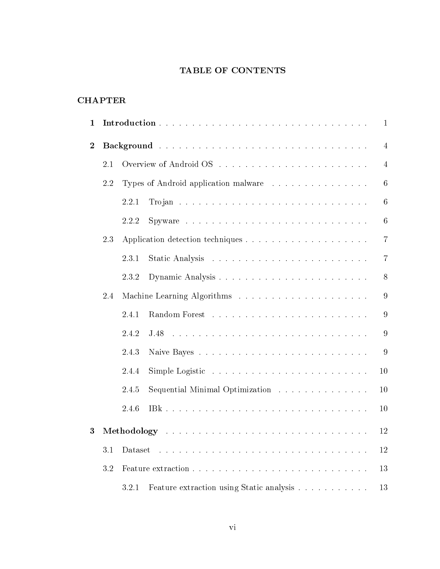# TABLE OF CONTENTS

## CHAPTER

| 1              | $\mathbf{1}$ |               |                                                                                 |                 |  |
|----------------|--------------|---------------|---------------------------------------------------------------------------------|-----------------|--|
| $\overline{2}$ |              |               |                                                                                 | $\overline{4}$  |  |
|                | 2.1          |               |                                                                                 | $\overline{4}$  |  |
|                | 2.2          |               | Types of Android application malware                                            | 6               |  |
|                |              | 2.2.1         |                                                                                 | $6\phantom{.}6$ |  |
|                |              | 2.2.2         | Spyware $\ldots \ldots \ldots \ldots \ldots \ldots \ldots \ldots \ldots \ldots$ | $6\phantom{.}6$ |  |
|                | 2.3          |               |                                                                                 | $\overline{7}$  |  |
|                |              | 2.3.1         |                                                                                 | $\overline{7}$  |  |
|                |              | 2.3.2         |                                                                                 | 8               |  |
|                | 2.4          |               |                                                                                 | 9               |  |
|                |              | 2.4.1         |                                                                                 | 9               |  |
|                |              | 2.4.2<br>J.48 |                                                                                 | 9               |  |
|                |              | 2.4.3         |                                                                                 | 9               |  |
|                |              | 2.4.4         |                                                                                 | 10              |  |
|                |              | 2.4.5         | Sequential Minimal Optimization                                                 | 10              |  |
|                |              | 2.4.6         |                                                                                 | 10              |  |
| 3              | 12           |               |                                                                                 |                 |  |
|                | 3.1          | Dataset       |                                                                                 | 12              |  |
|                | 3.2          |               |                                                                                 | 13              |  |
|                |              | 3.2.1         | Feature extraction using Static analysis                                        | 13              |  |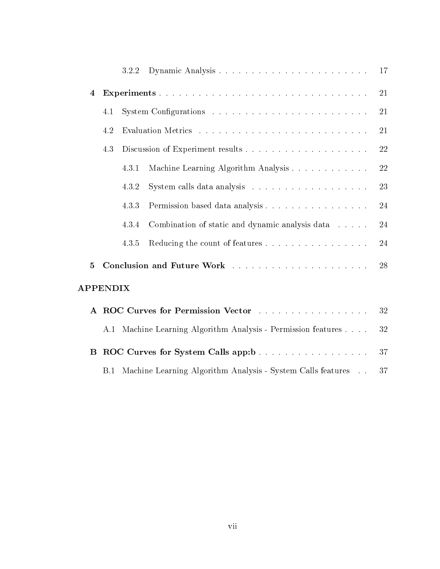|                 |     | 3.2.2 |                                                               | 17     |
|-----------------|-----|-------|---------------------------------------------------------------|--------|
| $\overline{4}$  |     |       |                                                               | 21     |
|                 | 4.1 |       |                                                               | 21     |
|                 | 4.2 |       |                                                               | 21     |
|                 | 4.3 |       |                                                               | $22\,$ |
|                 |     | 4.3.1 | Machine Learning Algorithm Analysis                           | 22     |
|                 |     | 4.3.2 |                                                               | 23     |
|                 |     | 4.3.3 | Permission based data analysis                                | 24     |
|                 |     | 4.3.4 | Combination of static and dynamic analysis data               | 24     |
|                 |     | 4.3.5 | Reducing the count of features                                | 24     |
| $\overline{5}$  |     |       | 28                                                            |        |
| <b>APPENDIX</b> |     |       |                                                               |        |
|                 |     |       | A ROC Curves for Permission Vector                            | 32     |
|                 |     |       | A.1 Machine Learning Algorithm Analysis - Permission features | 32     |
| B               |     |       | ROC Curves for System Calls app:b                             | 37     |
|                 | B.1 |       | Machine Learning Algorithm Analysis - System Calls features   | 37     |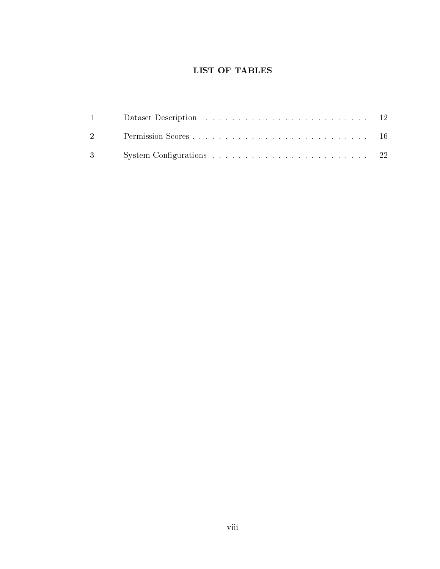# LIST OF TABLES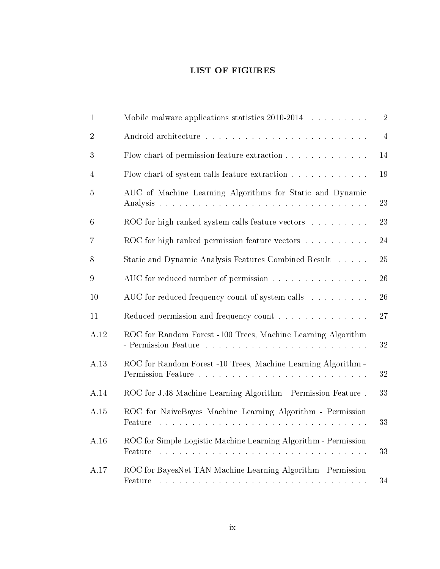# LIST OF FIGURES

| $\mathbf{1}$    | Mobile malware applications statistics 2010-2014                                                                                                                                                                                                                                                                | $\sqrt{2}$     |
|-----------------|-----------------------------------------------------------------------------------------------------------------------------------------------------------------------------------------------------------------------------------------------------------------------------------------------------------------|----------------|
| $\overline{2}$  |                                                                                                                                                                                                                                                                                                                 | $\overline{4}$ |
| 3               | Flow chart of permission feature extraction                                                                                                                                                                                                                                                                     | 14             |
| $\overline{4}$  | Flow chart of system calls feature extraction                                                                                                                                                                                                                                                                   | 19             |
| $\overline{5}$  | AUC of Machine Learning Algorithms for Static and Dynamic                                                                                                                                                                                                                                                       | 23             |
| $6\phantom{.}6$ | ROC for high ranked system calls feature vectors                                                                                                                                                                                                                                                                | 23             |
| 7               | ROC for high ranked permission feature vectors                                                                                                                                                                                                                                                                  | 24             |
| 8               | Static and Dynamic Analysis Features Combined Result                                                                                                                                                                                                                                                            | 25             |
| $\overline{9}$  | AUC for reduced number of permission                                                                                                                                                                                                                                                                            | 26             |
| 10              | AUC for reduced frequency count of system calls                                                                                                                                                                                                                                                                 | 26             |
| 11              | Reduced permission and frequency count                                                                                                                                                                                                                                                                          | 27             |
| A.12            | ROC for Random Forest -100 Trees, Machine Learning Algorithm                                                                                                                                                                                                                                                    | 32             |
| A.13            | ROC for Random Forest -10 Trees, Machine Learning Algorithm -                                                                                                                                                                                                                                                   | 32             |
| A.14            | ROC for J.48 Machine Learning Algorithm - Permission Feature.                                                                                                                                                                                                                                                   | 33             |
| A.15            | ROC for NaiveBayes Machine Learning Algorithm - Permission<br>Feature<br>والمتعاونة والمتعاونة والمتعاونة والمتعاونة والمتعاونة والمتعاونة والمتعاونة والمتعاونة والمتعاونة والمتعاونة                                                                                                                          | 33             |
| A.16            | ROC for Simple Logistic Machine Learning Algorithm - Permission<br>Feature                                                                                                                                                                                                                                      | 33             |
| A.17            | ROC for BayesNet TAN Machine Learning Algorithm - Permission<br>Feature<br><u>. A constitution of the constitution of the constitution of the constitution of the constitution of the constitution of the constitution of the constitution of the constitution of the constitution of the constitution of t</u> | 34             |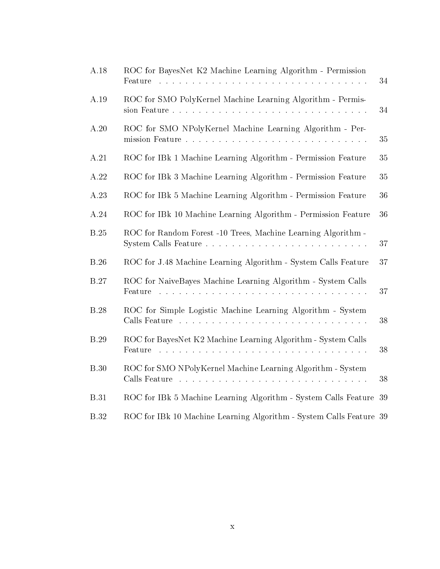| A.18        | ROC for BayesNet K2 Machine Learning Algorithm - Permission<br>Feature<br>والمتعاونة والمتعاونة والمتعاونة والمتعاونة والمتعاونة والمتعاونة والمتعاونة والمتعاونة والمتعاونة والمتعاونة              | 34     |
|-------------|------------------------------------------------------------------------------------------------------------------------------------------------------------------------------------------------------|--------|
| A.19        | ROC for SMO PolyKernel Machine Learning Algorithm - Permis-                                                                                                                                          | 34     |
| A.20        | ROC for SMO NPolyKernel Machine Learning Algorithm - Per-                                                                                                                                            | 35     |
| A.21        | ROC for IBk 1 Machine Learning Algorithm - Permission Feature                                                                                                                                        | 35     |
| A.22        | ROC for IBk 3 Machine Learning Algorithm - Permission Feature                                                                                                                                        | 35     |
| A.23        | ROC for IBk 5 Machine Learning Algorithm - Permission Feature                                                                                                                                        | 36     |
| A.24        | ROC for IBk 10 Machine Learning Algorithm - Permission Feature                                                                                                                                       | 36     |
| <b>B.25</b> | ROC for Random Forest -10 Trees, Machine Learning Algorithm -                                                                                                                                        | 37     |
| <b>B.26</b> | ROC for J.48 Machine Learning Algorithm - System Calls Feature                                                                                                                                       | 37     |
| <b>B.27</b> | ROC for NaiveBayes Machine Learning Algorithm - System Calls<br>Feature<br>والمتعاونة والمتعاونة والمتعاونة والمتعاونة والمتعاونة والمتعاونة والمتعاونة والمتعاونة والمتعاونة والمتعاونة             | 37     |
| <b>B.28</b> | ROC for Simple Logistic Machine Learning Algorithm - System<br>Calls Feature<br>والمتعاونة والمتعاونة والمتعاونة والمتعاونة والمتعاونة والمتعاونة والمتعاونة والمتعاونة والمتعاونة والمتعاونة        | 38     |
| <b>B.29</b> | ROC for BayesNet K2 Machine Learning Algorithm - System Calls<br>Feature<br>والمتابع والمتابع والمتابع والمتابع والمتابع والمتابع والمتابع والمتابع والمتابع والمتابع والمتابع<br>and a strain and a | $38\,$ |
| <b>B.30</b> | ROC for SMO NPolyKernel Machine Learning Algorithm - System<br>Calls Feature                                                                                                                         | 38     |
| <b>B.31</b> | ROC for IBk 5 Machine Learning Algorithm - System Calls Feature                                                                                                                                      | 39     |
| <b>B.32</b> | ROC for IBk 10 Machine Learning Algorithm - System Calls Feature 39                                                                                                                                  |        |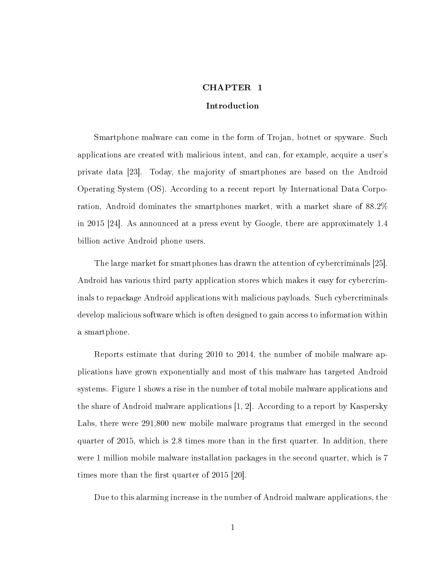#### CHAPTER 1

#### Introduction

<span id="page-11-0"></span>Smartphone malware can come in the form of Trojan, botnet or spyware. Such applications are created with malicious intent, and can, for example, acquire a user's private data [\[23\]](#page-40-0). Today, the majority of smartphones are based on the Android Operating System (OS). According to a recent report by International Data Corporation, Android dominates the smartphones market, with a market share of 88.2% in 2015 [\[24\]](#page-41-0). As announced at a press event by Google, there are approximately 1.4 billion active Android phone users.

The large market for smartphones has drawn the attention of cybercriminals [\[25\]](#page-41-1). Android has various third party application stores which makes it easy for cybercriminals to repackage Android applications with malicious payloads. Such cybercriminals develop malicious software which is often designed to gain access to information within a smartphone.

Reports estimate that during 2010 to 2014, the number of mobile malware applications have grown exponentially and most of this malware has targeted Android systems. Figure [1](#page-12-0) shows a rise in the number of total mobile malware applications and the share of Android malware applications [\[1,](#page-39-0) [2\]](#page-39-1). According to a report by Kaspersky Labs, there were 291,800 new mobile malware programs that emerged in the second quarter of 2015, which is 2.8 times more than in the first quarter. In addition, there were 1 million mobile malware installation packages in the second quarter, which is 7 times more than the first quarter of 2015 [\[20\]](#page-40-1).

Due to this alarming increase in the number of Android malware applications, the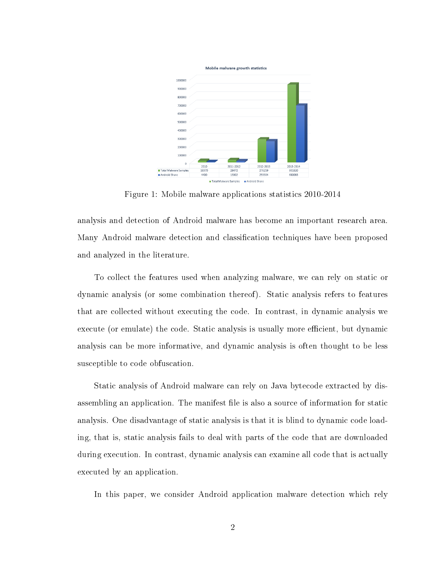<span id="page-12-0"></span>

Figure 1: Mobile malware applications statistics 2010-2014

analysis and detection of Android malware has become an important research area. Many Android malware detection and classification techniques have been proposed and analyzed in the literature.

To collect the features used when analyzing malware, we can rely on static or dynamic analysis (or some combination thereof). Static analysis refers to features that are collected without executing the code. In contrast, in dynamic analysis we execute (or emulate) the code. Static analysis is usually more efficient, but dynamic analysis can be more informative, and dynamic analysis is often thought to be less susceptible to code obfuscation.

Static analysis of Android malware can rely on Java bytecode extracted by disassembling an application. The manifest file is also a source of information for static analysis. One disadvantage of static analysis is that it is blind to dynamic code loading, that is, static analysis fails to deal with parts of the code that are downloaded during execution. In contrast, dynamic analysis can examine all code that is actually executed by an application.

In this paper, we consider Android application malware detection which rely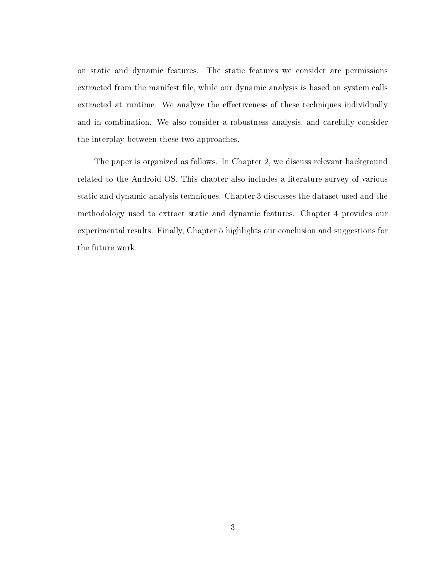on static and dynamic features. The static features we consider are permissions extracted from the manifest file, while our dynamic analysis is based on system calls extracted at runtime. We analyze the effectiveness of these techniques individually and in combination. We also consider a robustness analysis, and carefully consider the interplay between these two approaches.

The paper is organized as follows. In Chapter [2,](#page-14-0) we discuss relevant background related to the Android OS. This chapter also includes a literature survey of various static and dynamic analysis techniques. Chapter [3](#page-22-0) discusses the dataset used and the methodology used to extract static and dynamic features. Chapter [4](#page-31-0) provides our experimental results. Finally, Chapter [5](#page-38-0) highlights our conclusion and suggestions for the future work.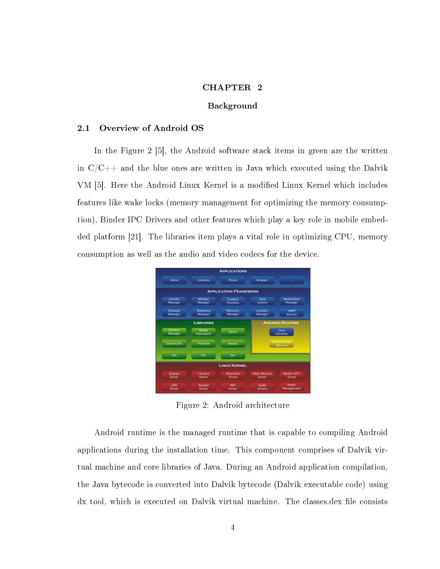#### CHAPTER 2

#### Background

#### <span id="page-14-1"></span><span id="page-14-0"></span>2.1 Overview of Android OS

In the Figure [2](#page-14-2) [\[5\]](#page-39-2), the Android software stack items in green are the written in  $C/C++$  and the blue ones are written in Java which executed using the Dalvik VM [\[5\]](#page-39-2). Here the Android Linux Kernel is a modified Linux Kernel which includes features like wake locks (memory management for optimizing the memory consumption), Binder IPC Drivers and other features which play a key role in mobile embedded platform [\[21\]](#page-40-2). The libraries item plays a vital role in optimizing CPU, memory consumption as well as the audio and video codecs for the device.

<span id="page-14-2"></span>

Figure 2: Android architecture

Android runtime is the managed runtime that is capable to compiling Android applications during the installation time. This component comprises of Dalvik virtual machine and core libraries of Java. During an Android application compilation, the Java bytecode is converted into Dalvik bytecode (Dalvik executable code) using dx tool, which is executed on Dalvik virtual machine. The classes.dex file consists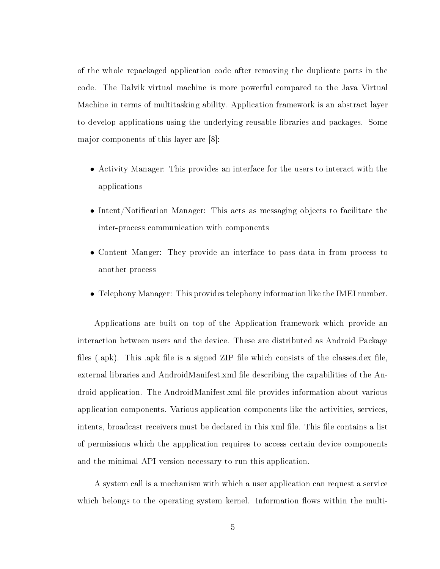of the whole repackaged application code after removing the duplicate parts in the code. The Dalvik virtual machine is more powerful compared to the Java Virtual Machine in terms of multitasking ability. Application framework is an abstract layer to develop applications using the underlying reusable libraries and packages. Some major components of this layer are [\[8\]](#page-39-3):

- ∙ Activity Manager: This provides an interface for the users to interact with the applications
- ∙ Intent/Notification Manager: This acts as messaging objects to facilitate the inter-process communication with components
- ∙ Content Manger: They provide an interface to pass data in from process to another process
- ∙ Telephony Manager: This provides telephony information like the IMEI number.

Applications are built on top of the Application framework which provide an interaction between users and the device. These are distributed as Android Package files (.apk). This .apk file is a signed ZIP file which consists of the classes.dex file, external libraries and AndroidManifest.xml file describing the capabilities of the Android application. The AndroidManifest.xml file provides information about various application components. Various application components like the activities, services, intents, broadcast receivers must be declared in this xml file. This file contains a list of permissions which the appplication requires to access certain device components and the minimal API version necessary to run this application.

A system call is a mechanism with which a user application can request a service which belongs to the operating system kernel. Information flows within the multi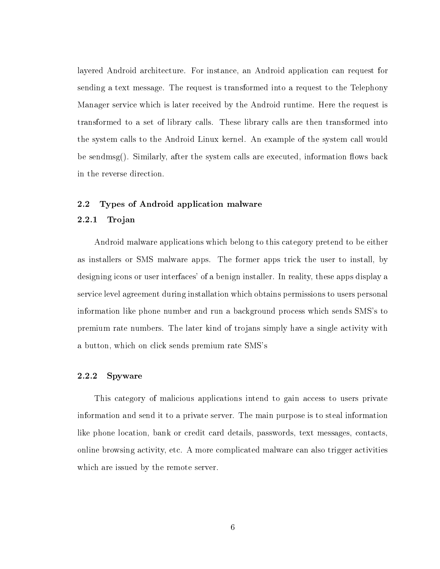layered Android architecture. For instance, an Android application can request for sending a text message. The request is transformed into a request to the Telephony Manager service which is later received by the Android runtime. Here the request is transformed to a set of library calls. These library calls are then transformed into the system calls to the Android Linux kernel. An example of the system call would be sendmsg(). Similarly, after the system calls are executed, information flows back in the reverse direction.

#### <span id="page-16-1"></span><span id="page-16-0"></span>2.2 Types of Android application malware

#### 2.2.1 Trojan

Android malware applications which belong to this category pretend to be either as installers or SMS malware apps. The former apps trick the user to install, by designing icons or user interfaces' of a benign installer. In reality, these apps display a service level agreement during installation which obtains permissions to users personal information like phone number and run a background process which sends SMS's to premium rate numbers. The later kind of trojans simply have a single activity with a button, which on click sends premium rate SMS's

#### <span id="page-16-2"></span>2.2.2 Spyware

This category of malicious applications intend to gain access to users private information and send it to a private server. The main purpose is to steal information like phone location, bank or credit card details, passwords, text messages, contacts, online browsing activity, etc. A more complicated malware can also trigger activities which are issued by the remote server.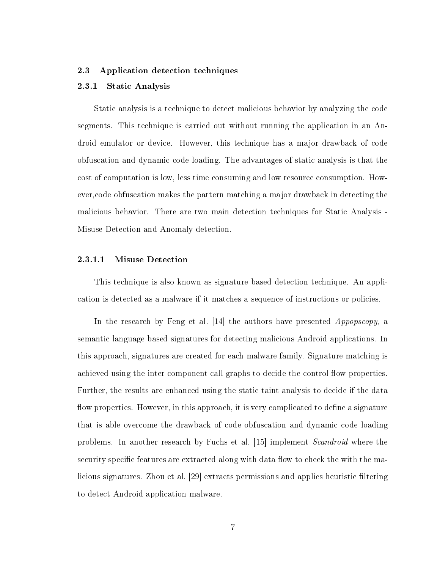#### <span id="page-17-1"></span><span id="page-17-0"></span>2.3 Application detection techniques

#### 2.3.1 Static Analysis

Static analysis is a technique to detect malicious behavior by analyzing the code segments. This technique is carried out without running the application in an Android emulator or device. However, this technique has a major drawback of code obfuscation and dynamic code loading. The advantages of static analysis is that the cost of computation is low, less time consuming and low resource consumption. However,code obfuscation makes the pattern matching a major drawback in detecting the malicious behavior. There are two main detection techniques for Static Analysis - Misuse Detection and Anomaly detection.

#### 2.3.1.1 Misuse Detection

This technique is also known as signature based detection technique. An application is detected as a malware if it matches a sequence of instructions or policies.

In the research by Feng et al. [\[14\]](#page-40-3) the authors have presented *Appopscopy*, a semantic language based signatures for detecting malicious Android applications. In this approach, signatures are created for each malware family. Signature matching is achieved using the inter component call graphs to decide the control flow properties. Further, the results are enhanced using the static taint analysis to decide if the data flow properties. However, in this approach, it is very complicated to define a signature that is able overcome the drawback of code obfuscation and dynamic code loading problems. In another research by Fuchs et al. [\[15\]](#page-40-4) implement Scandroid where the security specific features are extracted along with data flow to check the with the malicious signatures. Zhou et al. [\[29\]](#page-41-2) extracts permissions and applies heuristic filtering to detect Android application malware.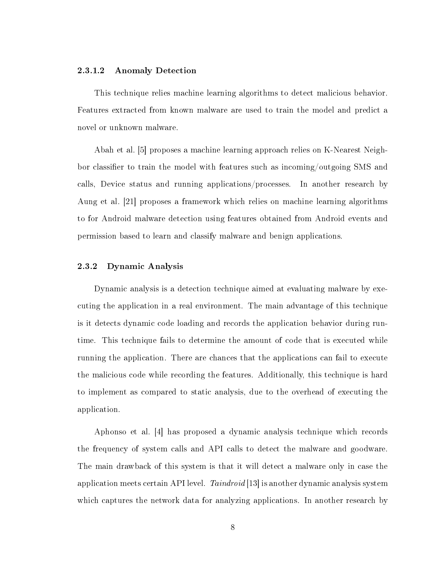#### 2.3.1.2 Anomaly Detection

This technique relies machine learning algorithms to detect malicious behavior. Features extracted from known malware are used to train the model and predict a novel or unknown malware.

Abah et al. [\[5\]](#page-39-2) proposes a machine learning approach relies on K-Nearest Neighbor classifier to train the model with features such as incoming/outgoing SMS and calls, Device status and running applications/processes. In another research by Aung et al. [\[21\]](#page-40-2) proposes a framework which relies on machine learning algorithms to for Android malware detection using features obtained from Android events and permission based to learn and classify malware and benign applications.

#### <span id="page-18-0"></span>2.3.2 Dynamic Analysis

Dynamic analysis is a detection technique aimed at evaluating malware by executing the application in a real environment. The main advantage of this technique is it detects dynamic code loading and records the application behavior during runtime. This technique fails to determine the amount of code that is executed while running the application. There are chances that the applications can fail to execute the malicious code while recording the features. Additionally, this technique is hard to implement as compared to static analysis, due to the overhead of executing the application.

Aphonso et al. [\[4\]](#page-39-4) has proposed a dynamic analysis technique which records the frequency of system calls and API calls to detect the malware and goodware. The main drawback of this system is that it will detect a malware only in case the application meets certain API level.  $Taindroid$  [\[13\]](#page-40-5) is another dynamic analysis system which captures the network data for analyzing applications. In another research by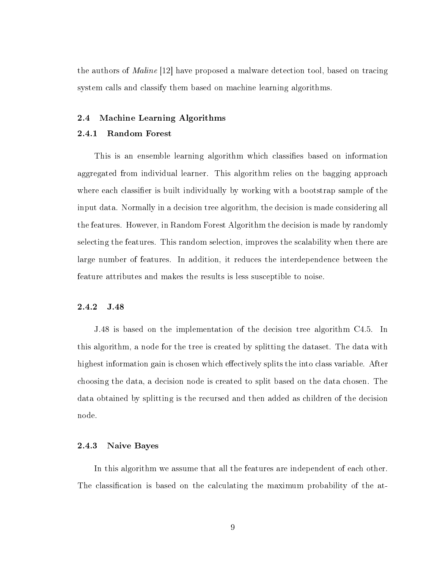the authors of Maline [\[12\]](#page-39-5) have proposed a malware detection tool, based on tracing system calls and classify them based on machine learning algorithms.

#### <span id="page-19-0"></span>2.4 Machine Learning Algorithms

#### <span id="page-19-1"></span>2.4.1 Random Forest

This is an ensemble learning algorithm which classifies based on information aggregated from individual learner. This algorithm relies on the bagging approach where each classifier is built individually by working with a bootstrap sample of the input data. Normally in a decision tree algorithm, the decision is made considering all the features. However, in Random Forest Algorithm the decision is made by randomly selecting the features. This random selection, improves the scalability when there are large number of features. In addition, it reduces the interdependence between the feature attributes and makes the results is less susceptible to noise.

### <span id="page-19-2"></span>2.4.2 J.48

J.48 is based on the implementation of the decision tree algorithm C4.5. In this algorithm, a node for the tree is created by splitting the dataset. The data with highest information gain is chosen which effectively splits the into class variable. After choosing the data, a decision node is created to split based on the data chosen. The data obtained by splitting is the recursed and then added as children of the decision node.

#### <span id="page-19-3"></span>2.4.3 Naive Bayes

In this algorithm we assume that all the features are independent of each other. The classification is based on the calculating the maximum probability of the at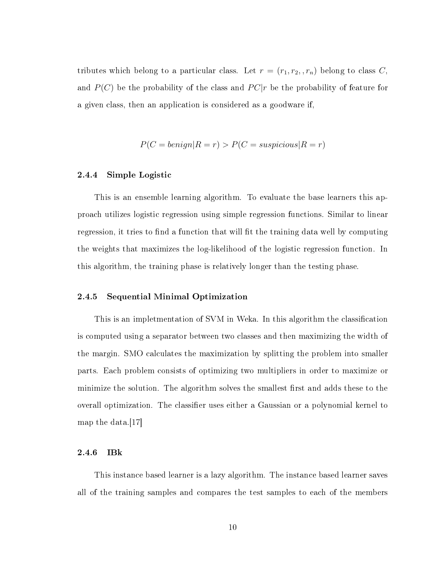tributes which belong to a particular class. Let  $r = (r_1, r_2, r_n)$  belong to class C, and  $P(C)$  be the probability of the class and  $PC|r$  be the probability of feature for a given class, then an application is considered as a goodware if,

$$
P(C = benign|R = r) > P(C = suspicious|R = r)
$$

#### <span id="page-20-0"></span>2.4.4 Simple Logistic

This is an ensemble learning algorithm. To evaluate the base learners this approach utilizes logistic regression using simple regression functions. Similar to linear regression, it tries to find a function that will fit the training data well by computing the weights that maximizes the log-likelihood of the logistic regression function. In this algorithm, the training phase is relatively longer than the testing phase.

#### <span id="page-20-1"></span>2.4.5 Sequential Minimal Optimization

This is an impletmentation of SVM in Weka. In this algorithm the classification is computed using a separator between two classes and then maximizing the width of the margin. SMO calculates the maximization by splitting the problem into smaller parts. Each problem consists of optimizing two multipliers in order to maximize or minimize the solution. The algorithm solves the smallest first and adds these to the overall optimization. The classifier uses either a Gaussian or a polynomial kernel to map the data.[\[17\]](#page-40-6)

#### <span id="page-20-2"></span>2.4.6 IBk

This instance based learner is a lazy algorithm. The instance based learner saves all of the training samples and compares the test samples to each of the members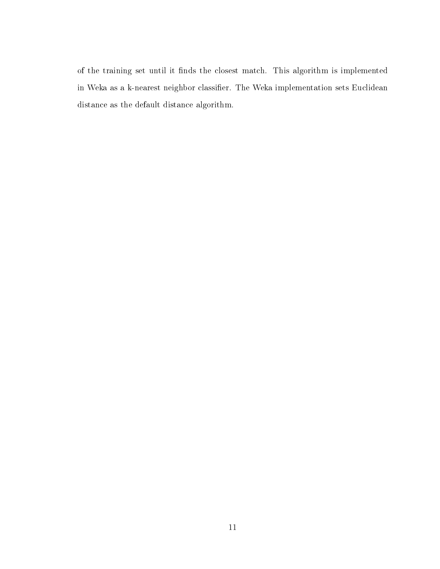of the training set until it finds the closest match. This algorithm is implemented in Weka as a k-nearest neighbor classifier. The Weka implementation sets Euclidean distance as the default distance algorithm.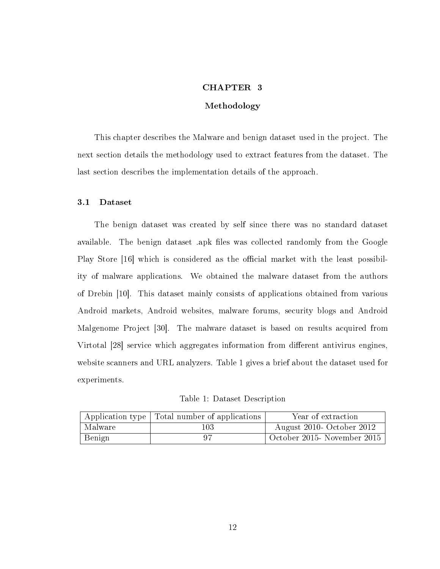#### CHAPTER 3

#### Methodology

<span id="page-22-0"></span>This chapter describes the Malware and benign dataset used in the project. The next section details the methodology used to extract features from the dataset. The last section describes the implementation details of the approach.

#### <span id="page-22-1"></span>3.1 Dataset

The benign dataset was created by self since there was no standard dataset available. The benign dataset .apk files was collected randomly from the Google Play Store [\[16\]](#page-40-7) which is considered as the official market with the least possibility of malware applications. We obtained the malware dataset from the authors of Drebin [\[10\]](#page-39-6). This dataset mainly consists of applications obtained from various Android markets, Android websites, malware forums, security blogs and Android Malgenome Project [\[30\]](#page-41-3). The malware dataset is based on results acquired from Virtotal [\[28\]](#page-41-4) service which aggregates information from different antivirus engines, website scanners and URL analyzers. Table [1](#page-22-2) gives a brief about the dataset used for experiments.

Table 1: Dataset Description

<span id="page-22-2"></span>

|         | Application type Total number of applications | Year of extraction                  |
|---------|-----------------------------------------------|-------------------------------------|
| Malware | 103                                           | August 2010- October 2012           |
| Benign  |                                               | $\vert$ October 2015- November 2015 |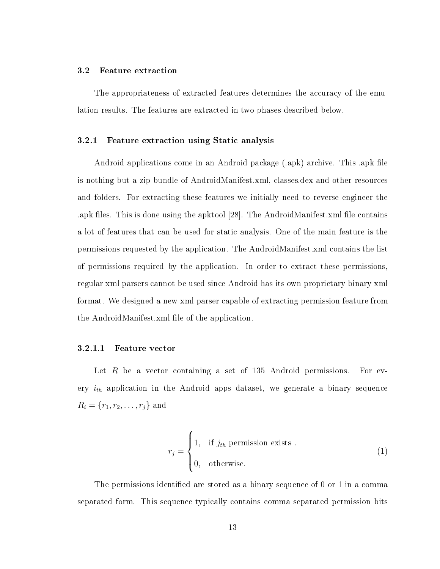#### <span id="page-23-0"></span>3.2 Feature extraction

The appropriateness of extracted features determines the accuracy of the emulation results. The features are extracted in two phases described below.

#### <span id="page-23-1"></span>3.2.1 Feature extraction using Static analysis

Android applications come in an Android package (.apk) archive. This .apk file is nothing but a zip bundle of AndroidManifest.xml, classes.dex and other resources and folders. For extracting these features we initially need to reverse engineer the .apk files. This is done using the apktool [\[28\]](#page-41-4). The AndroidManifest.xml file contains a lot of features that can be used for static analysis. One of the main feature is the permissions requested by the application. The AndroidManifest.xml contains the list of permissions required by the application. In order to extract these permissions, regular xml parsers cannot be used since Android has its own proprietary binary xml format. We designed a new xml parser capable of extracting permission feature from the AndroidManifest.xml file of the application.

#### 3.2.1.1 Feature vector

Let  $R$  be a vector containing a set of 135 Android permissions. For every  $i_{th}$  application in the Android apps dataset, we generate a binary sequence  $R_i = \{r_1, r_2, \dots, r_j\}$  and

$$
r_j = \begin{cases} 1, & \text{if } j_{th} \text{ permission exists .} \\ 0, & \text{otherwise.} \end{cases}
$$
 (1)

The permissions identified are stored as a binary sequence of 0 or 1 in a comma separated form. This sequence typically contains comma separated permission bits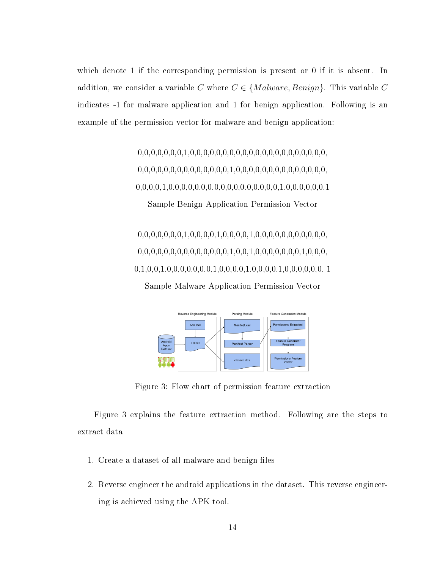which denote 1 if the corresponding permission is present or 0 if it is absent. In addition, we consider a variable C where  $C \in \{Malware, Benign\}$ . This variable C indicates -1 for malware application and 1 for benign application. Following is an example of the permission vector for malware and benign application:

> 0,0,0,0,0,0,0,1,0,0,0,0,0,0,0,0,0,0,0,0,0,0,0,0,0,0,0,0,0, 0,0,0,0,0,0,0,0,0,0,0,0,0,0,1,0,0,0,0,0,0,0,0,0,0,0,0,0,0, 0,0,0,0,1,0,0,0,0,0,0,0,0,0,0,0,0,0,0,0,0,0,1,0,0,0,0,0,0,1 Sample Benign Application Permission Vector

> 0,0,0,0,0,0,0,1,0,0,0,0,1,0,0,0,0,1,0,0,0,0,0,0,0,0,0,0,0, 0,0,0,0,0,0,0,0,0,0,0,0,0,0,1,0,0,1,0,0,0,0,0,0,0,1,0,0,0, 0,1,0,0,1,0,0,0,0,0,0,0,1,0,0,0,0,1,0,0,0,0,1,0,0,0,0,0,0,-1 Sample Malware Application Permission Vector

<span id="page-24-0"></span>

Figure 3: Flow chart of permission feature extraction

Figure [3](#page-24-0) explains the feature extraction method. Following are the steps to extract data

- 1. Create a dataset of all malware and benign files
- 2. Reverse engineer the android applications in the dataset. This reverse engineering is achieved using the APK tool.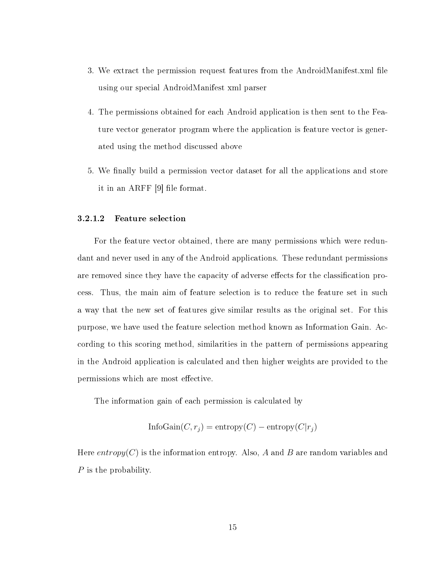- 3. We extract the permission request features from the AndroidManifest.xml file using our special AndroidManifest xml parser
- 4. The permissions obtained for each Android application is then sent to the Feature vector generator program where the application is feature vector is generated using the method discussed above
- 5. We finally build a permission vector dataset for all the applications and store it in an ARFF [\[9\]](#page-39-7) file format.

#### <span id="page-25-0"></span>3.2.1.2 Feature selection

For the feature vector obtained, there are many permissions which were redundant and never used in any of the Android applications. These redundant permissions are removed since they have the capacity of adverse effects for the classification process. Thus, the main aim of feature selection is to reduce the feature set in such a way that the new set of features give similar results as the original set. For this purpose, we have used the feature selection method known as Information Gain. According to this scoring method, similarities in the pattern of permissions appearing in the Android application is calculated and then higher weights are provided to the permissions which are most effective.

The information gain of each permission is calculated by

$$
InfoGain(C, r_j) = entropy(C) - entropy(C|r_j)
$$

Here entropy(C) is the information entropy. Also, A and B are random variables and  $P$  is the probability.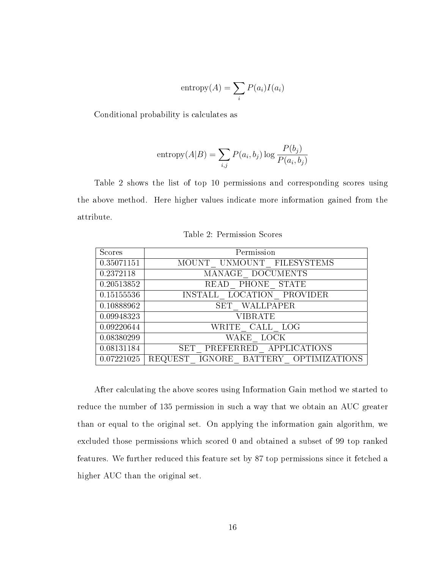entropy
$$
(A)
$$
 =  $\sum_i P(a_i)I(a_i)$ 

Conditional probability is calculates as

entropy
$$
(A|B) = \sum_{i,j} P(a_i, b_j) \log \frac{P(b_j)}{P(a_i, b_j)}
$$

Table [2](#page-26-0) shows the list of top 10 permissions and corresponding scores using the above method. Here higher values indicate more information gained from the attribute.

<span id="page-26-0"></span>

| Scores     | Permission                           |
|------------|--------------------------------------|
| 0.35071151 | MOUNT UNMOUNT FILESYSTEMS            |
| 0.2372118  | MANAGE DOCUMENTS                     |
| 0.20513852 | READ PHONE STATE                     |
| 0.15155536 | INSTALL LOCATION PROVIDER            |
| 0.10888962 | SET WALLPAPER                        |
| 0.09948323 | <b>VIBRATE</b>                       |
| 0.09220644 | WRITE CALL LOG                       |
| 0.08380299 | WAKE LOCK                            |
| 0.08131184 | SET PREFERRED APPLICATIONS           |
| 0.07221025 | REQUEST IGNORE BATTERY OPTIMIZATIONS |

Table 2: Permission Scores

After calculating the above scores using Information Gain method we started to reduce the number of 135 permission in such a way that we obtain an AUC greater than or equal to the original set. On applying the information gain algorithm, we excluded those permissions which scored 0 and obtained a subset of 99 top ranked features. We further reduced this feature set by 87 top permissions since it fetched a higher AUC than the original set.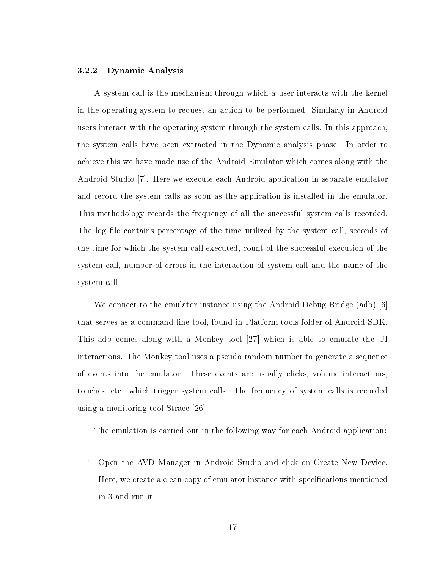#### <span id="page-27-0"></span>3.2.2 Dynamic Analysis

A system call is the mechanism through which a user interacts with the kernel in the operating system to request an action to be performed. Similarly in Android users interact with the operating system through the system calls. In this approach, the system calls have been extracted in the Dynamic analysis phase. In order to achieve this we have made use of the Android Emulator which comes along with the Android Studio [\[7\]](#page-39-8). Here we execute each Android application in separate emulator and record the system calls as soon as the application is installed in the emulator. This methodology records the frequency of all the successful system calls recorded. The log file contains percentage of the time utilized by the system call, seconds of the time for which the system call executed, count of the successful execution of the system call, number of errors in the interaction of system call and the name of the system call.

We connect to the emulator instance using the Android Debug Bridge (adb) [\[6\]](#page-39-9) that serves as a command line tool, found in Platform tools folder of Android SDK. This adb comes along with a Monkey tool [\[27\]](#page-41-5) which is able to emulate the UI interactions. The Monkey tool uses a pseudo random number to generate a sequence of events into the emulator. These events are usually clicks, volume interactions, touches, etc. which trigger system calls. The frequency of system calls is recorded using a monitoring tool Strace [\[26\]](#page-41-6)

The emulation is carried out in the following way for each Android application:

1. Open the AVD Manager in Android Studio and click on Create New Device. Here, we create a clean copy of emulator instance with specifications mentioned in [3](#page-32-2) and run it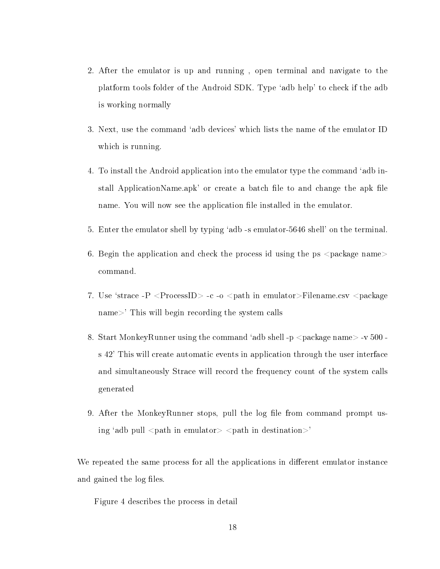- 2. After the emulator is up and running , open terminal and navigate to the platform tools folder of the Android SDK. Type 'adb help' to check if the adb is working normally
- 3. Next, use the command 'adb devices' which lists the name of the emulator ID which is running.
- 4. To install the Android application into the emulator type the command 'adb install ApplicationName.apk' or create a batch file to and change the apk file name. You will now see the application file installed in the emulator.
- 5. Enter the emulator shell by typing 'adb -s emulator-5646 shell' on the terminal.
- 6. Begin the application and check the process id using the ps  $\langle$  package name $\rangle$ command.
- 7. Use 'strace -P <ProcessID> -c -o <path in emulator>Filename.csv <package name>' This will begin recording the system calls
- 8. Start MonkeyRunner using the command 'adb shell -p <package name> -v 500 s 42' This will create automatic events in application through the user interface and simultaneously Strace will record the frequency count of the system calls generated
- 9. After the MonkeyRunner stops, pull the log file from command prompt using 'adb pull  $\leq$ path in emulator $\geq$   $\leq$ path in destination $\geq$ '

We repeated the same process for all the applications in different emulator instance and gained the log files.

Figure [4](#page-29-0) describes the process in detail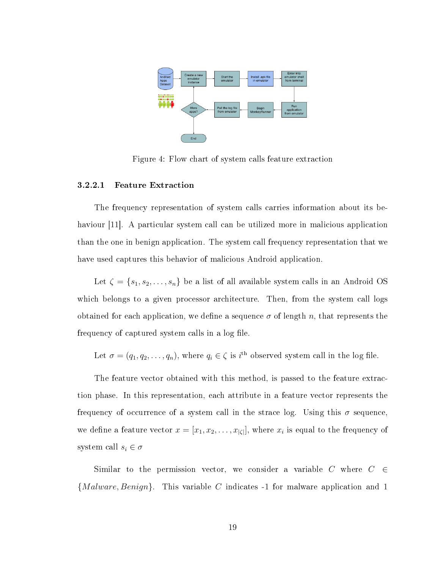<span id="page-29-0"></span>

Figure 4: Flow chart of system calls feature extraction

#### 3.2.2.1 Feature Extraction

The frequency representation of system calls carries information about its be-haviour [\[11\]](#page-39-10). A particular system call can be utilized more in malicious application than the one in benign application. The system call frequency representation that we have used captures this behavior of malicious Android application.

Let  $\zeta = \{s_1, s_2, \ldots, s_n\}$  be a list of all available system calls in an Android OS which belongs to a given processor architecture. Then, from the system call logs obtained for each application, we define a sequence  $\sigma$  of length n, that represents the frequency of captured system calls in a log file.

Let  $\sigma = (q_1, q_2, \dots, q_n)$ , where  $q_i \in \zeta$  is  $i^{\text{th}}$  observed system call in the log file.

The feature vector obtained with this method, is passed to the feature extraction phase. In this representation, each attribute in a feature vector represents the frequency of occurrence of a system call in the strace log. Using this  $\sigma$  sequence, we define a feature vector  $x = [x_1, x_2, \ldots, x_{|\zeta|}]$ , where  $x_i$  is equal to the frequency of system call  $s_i \in \sigma$ 

Similar to the permission vector, we consider a variable  $C$  where  $C \in \mathcal{C}$  ${[Malware, Benign]}$ . This variable C indicates -1 for malware application and 1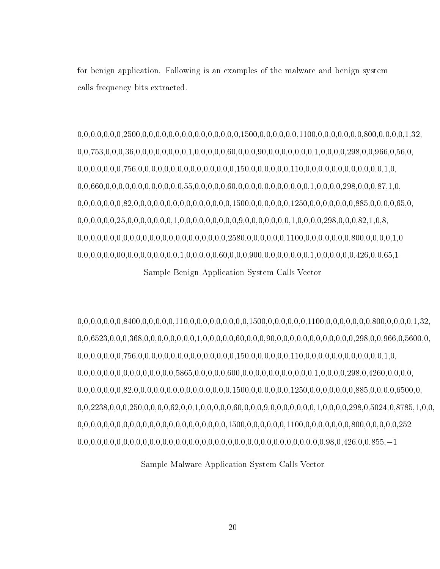for benign application. Following is an examples of the malware and benign system calls frequency bits extracted.

0,0,0,0,0,0,0,2500,0,0,0,0,0,0,0,0,0,0,0,0,0,0,0,1500,0,0,0,0,0,0,1100,0,0,0,0,0,0,0,800,0,0,0,0,1,32, 0,0,753,0,0,0,36,0,0,0,0,0,0,0,0,1,0,0,0,0,0,60,0,0,0,90,0,0,0,0,0,0,0,1,0,0,0,0,298,0,0,966,0,56,0, 0,0,0,0,0,0,0,756,0,0,0,0,0,0,0,0,0,0,0,0,0,0,0,150,0,0,0,0,0,0,110,0,0,0,0,0,0,0,0,0,0,0,0,1,0, 0,0,660,0,0,0,0,0,0,0,0,0,0,0,0,55,0,0,0,0,0,60,0,0,0,0,0,0,0,0,0,0,0,1,0,0,0,0,298,0,0,0,87,1,0, 0,0,0,0,0,0,0,82,0,0,0,0,0,0,0,0,0,0,0,0,0,0,0,1500,0,0,0,0,0,0,1250,0,0,0,0,0,0,0,885,0,0,0,0,65,0, 0,0,0,0,0,0,25,0,0,0,0,0,0,0,1,0,0,0,0,0,0,0,0,0,9,0,0,0,0,0,0,0,1,0,0,0,0,298,0,0,0,82,1,0,8, 0,0,0,0,0,0,0,0,0,0,0,0,0,0,0,0,0,0,0,0,0,0,0,2580,0,0,0,0,0,0,1100,0,0,0,0,0,0,0,800,0,0,0,0,1,0 0,0,0,0,0,0,00,0,0,0,0,0,0,0,0,1,0,0,0,0,0,60,0,0,0,900,0,0,0,0,0,0,0,1,0,0,0,0,0,0,426,0,0,65,1 Sample Benign Application System Calls Vector

0,0,0,0,0,0,0,8400,0,0,0,0,0,110,0,0,0,0,0,0,0,0,0,1500,0,0,0,0,0,0,1100,0,0,0,0,0,0,0,800,0,0,0,0,1,32, 0,0,6523,0,0,0,368,0,0,0,0,0,0,0,0,1,0,0,0,0,0,60,0,0,0,90,0,0,0,0,0,0,0,0,0,0,0,0,298,0,0,966,0,5600,0, 0,0,0,0,0,0,0,756,0,0,0,0,0,0,0,0,0,0,0,0,0,0,0,150,0,0,0,0,0,0,110,0,0,0,0,0,0,0,0,0,0,0,0,1,0, 0,0,0,0,0,0,0,0,0,0,0,0,0,0,0,5865,0,0,0,0,0,600,0,0,0,0,0,0,0,0,0,0,0,1,0,0,0,0,298,0,4260,0,0,0,0, 0,0,0,0,0,0,0,82,0,0,0,0,0,0,0,0,0,0,0,0,0,0,0,1500,0,0,0,0,0,0,1250,0,0,0,0,0,0,0,885,0,0,0,0,6500,0, 0,0,2238,0,0,0,250,0,0,0,0,62,0,0,1,0,0,0,0,0,60,0,0,0,9,0,0,0,0,0,0,0,1,0,0,0,0,298,0,5024,0,8785,1,0,0, 0,0,0,0,0,0,0,0,0,0,0,0,0,0,0,0,0,0,0,0,0,0,0,1500,0,0,0,0,0,0,1100,0,0,0,0,0,0,0,800,0,0,0,0,0,252 0,0,0,0,0,0,0,0,0,0,0,0,0,0,0,0,0,0,0,0,0,0,0,0,0,0,0,0,0,0,0,0,0,0,0,0,0,0,98,0,426,0,0,855,−1

Sample Malware Application System Calls Vector

20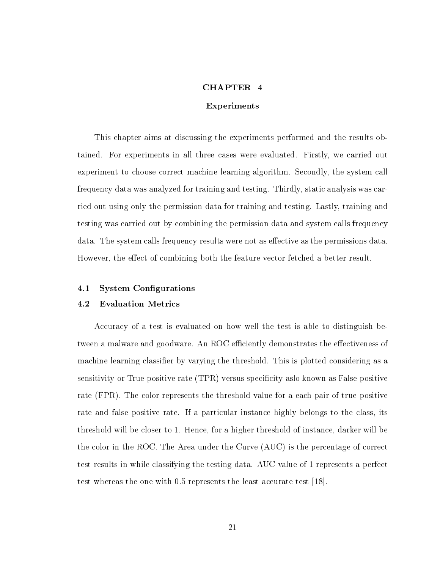#### CHAPTER 4

#### Experiments

<span id="page-31-0"></span>This chapter aims at discussing the experiments performed and the results obtained. For experiments in all three cases were evaluated. Firstly, we carried out experiment to choose correct machine learning algorithm. Secondly, the system call frequency data was analyzed for training and testing. Thirdly, static analysis was carried out using only the permission data for training and testing. Lastly, training and testing was carried out by combining the permission data and system calls frequency data. The system calls frequency results were not as effective as the permissions data. However, the effect of combining both the feature vector fetched a better result.

#### <span id="page-31-1"></span>4.1 System Configurations

#### <span id="page-31-2"></span>4.2 Evaluation Metrics

Accuracy of a test is evaluated on how well the test is able to distinguish between a malware and goodware. An ROC efficiently demonstrates the effectiveness of machine learning classifier by varying the threshold. This is plotted considering as a sensitivity or True positive rate (TPR) versus specificity aslo known as False positive rate (FPR). The color represents the threshold value for a each pair of true positive rate and false positive rate. If a particular instance highly belongs to the class, its threshold will be closer to 1. Hence, for a higher threshold of instance, darker will be the color in the ROC. The Area under the Curve (AUC) is the percentage of correct test results in while classifying the testing data. AUC value of 1 represents a perfect test whereas the one with 0.5 represents the least accurate test [\[18\]](#page-40-8).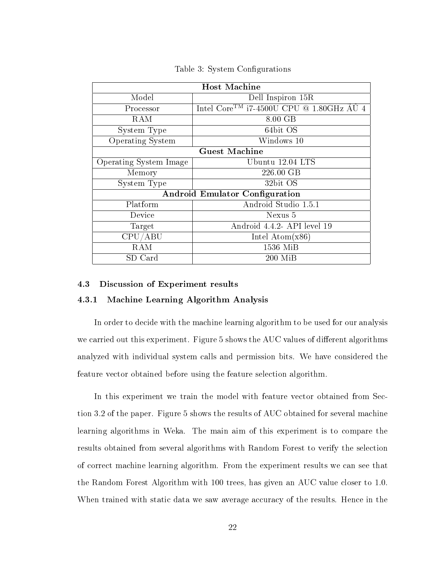<span id="page-32-2"></span>

| <b>Host Machine</b>                   |                                                                         |  |
|---------------------------------------|-------------------------------------------------------------------------|--|
| Model                                 | Dell Inspiron 15R                                                       |  |
| Processor                             | Intel Core <sup>TM</sup> i7-4500U CPU @ 1.80GHz $\tilde{A} \check{U}$ 4 |  |
| RAM                                   | 8.00 GB                                                                 |  |
| System Type                           | 64bit OS                                                                |  |
| Operating System                      | Windows 10                                                              |  |
| <b>Guest Machine</b>                  |                                                                         |  |
| Operating System Image                | Ubuntu 12.04 LTS                                                        |  |
| Memory                                | 226.00 GB                                                               |  |
| System Type                           | 32bit OS                                                                |  |
| <b>Android Emulator Configuration</b> |                                                                         |  |
| Platform                              | Android Studio 1.5.1                                                    |  |
| Device                                | Nexus 5                                                                 |  |
| Target                                | Android 4.4.2- API level 19                                             |  |
| CPU/ABU                               | Intel Atom $(x86)$                                                      |  |
| RAM                                   | 1536 MiB                                                                |  |
| SD Card                               | $200$ MiB                                                               |  |

Table 3: System Configurations

#### <span id="page-32-1"></span><span id="page-32-0"></span>4.3 Discussion of Experiment results

#### 4.3.1 Machine Learning Algorithm Analysis

In order to decide with the machine learning algorithm to be used for our analysis we carried out this experiment. Figure [5](#page-33-1) shows the AUC values of different algorithms analyzed with individual system calls and permission bits. We have considered the feature vector obtained before using the feature selection algorithm.

In this experiment we train the model with feature vector obtained from Section [3.2](#page-23-0) of the paper. Figure [5](#page-33-1) shows the results of AUC obtained for several machine learning algorithms in Weka. The main aim of this experiment is to compare the results obtained from several algorithms with Random Forest to verify the selection of correct machine learning algorithm. From the experiment results we can see that the Random Forest Algorithm with 100 trees, has given an AUC value closer to 1.0. When trained with static data we saw average accuracy of the results. Hence in the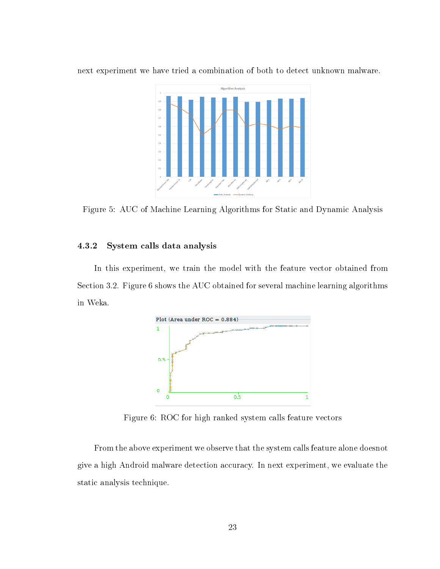

<span id="page-33-1"></span>next experiment we have tried a combination of both to detect unknown malware.

Figure 5: AUC of Machine Learning Algorithms for Static and Dynamic Analysis

#### <span id="page-33-0"></span>4.3.2 System calls data analysis

<span id="page-33-2"></span>In this experiment, we train the model with the feature vector obtained from Section [3.2.](#page-23-0) Figure [6](#page-33-2) shows the AUC obtained for several machine learning algorithms in Weka.



Figure 6: ROC for high ranked system calls feature vectors

From the above experiment we observe that the system calls feature alone doesnot give a high Android malware detection accuracy. In next experiment, we evaluate the static analysis technique.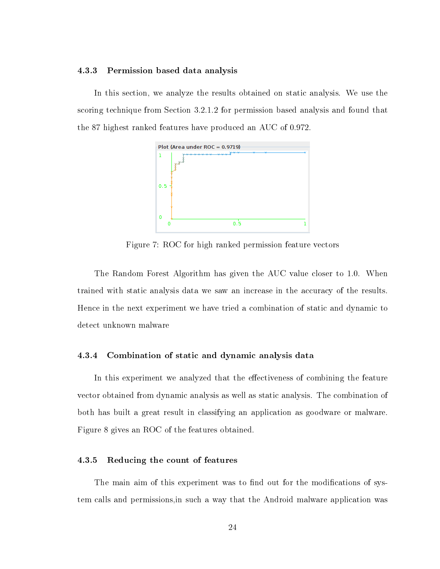#### <span id="page-34-0"></span>4.3.3 Permission based data analysis

<span id="page-34-3"></span>In this section, we analyze the results obtained on static analysis. We use the scoring technique from Section [3.2.1.2](#page-25-0) for permission based analysis and found that the 87 highest ranked features have produced an AUC of 0.972.



Figure 7: ROC for high ranked permission feature vectors

The Random Forest Algorithm has given the AUC value closer to 1.0. When trained with static analysis data we saw an increase in the accuracy of the results. Hence in the next experiment we have tried a combination of static and dynamic to detect unknown malware

#### <span id="page-34-1"></span>4.3.4 Combination of static and dynamic analysis data

In this experiment we analyzed that the effectiveness of combining the feature vector obtained from dynamic analysis as well as static analysis. The combination of both has built a great result in classifying an application as goodware or malware. Figure [8](#page-35-0) gives an ROC of the features obtained.

#### <span id="page-34-2"></span>4.3.5 Reducing the count of features

The main aim of this experiment was to find out for the modifications of system calls and permissions,in such a way that the Android malware application was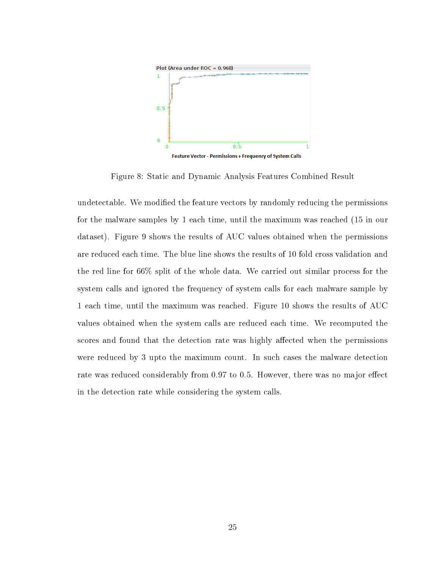<span id="page-35-0"></span>

Figure 8: Static and Dynamic Analysis Features Combined Result

undetectable. We modified the feature vectors by randomly reducing the permissions for the malware samples by 1 each time, until the maximum was reached (15 in our dataset). Figure [9](#page-36-0) shows the results of AUC values obtained when the permissions are reduced each time. The blue line shows the results of 10 fold cross validation and the red line for 66% split of the whole data. We carried out similar process for the system calls and ignored the frequency of system calls for each malware sample by 1 each time, until the maximum was reached. Figure [10](#page-36-1) shows the results of AUC values obtained when the system calls are reduced each time. We recomputed the scores and found that the detection rate was highly affected when the permissions were reduced by 3 upto the maximum count. In such cases the malware detection rate was reduced considerably from 0.97 to 0.5. However, there was no major effect in the detection rate while considering the system calls.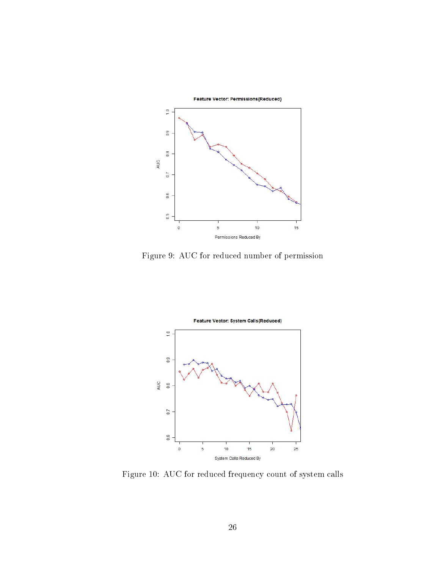<span id="page-36-0"></span>

Figure 9: AUC for reduced number of permission

<span id="page-36-1"></span>

Figure 10: AUC for reduced frequency count of system calls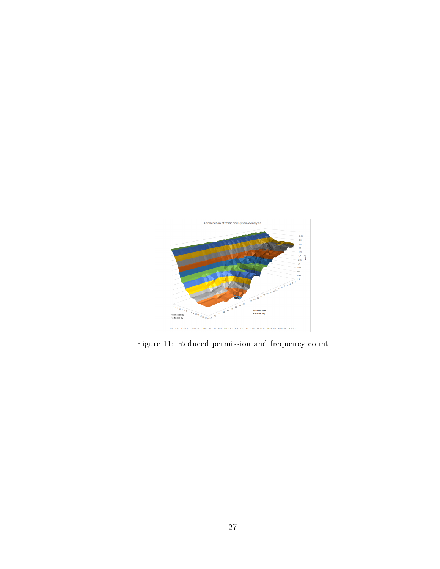<span id="page-37-0"></span>

Figure 11: Reduced permission and frequency count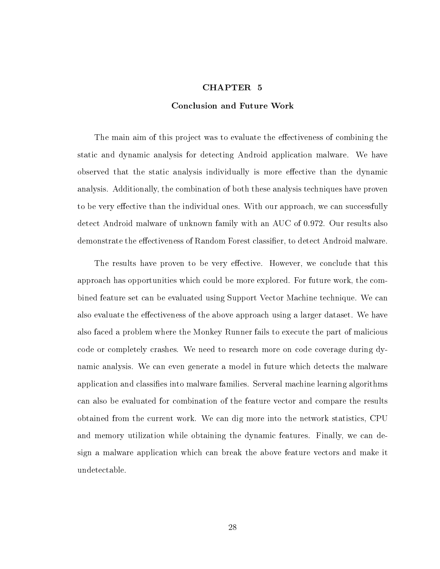#### CHAPTER 5

#### Conclusion and Future Work

<span id="page-38-0"></span>The main aim of this project was to evaluate the effectiveness of combining the static and dynamic analysis for detecting Android application malware. We have observed that the static analysis individually is more effective than the dynamic analysis. Additionally, the combination of both these analysis techniques have proven to be very effective than the individual ones. With our approach, we can successfully detect Android malware of unknown family with an AUC of 0.972. Our results also demonstrate the effectiveness of Random Forest classifier, to detect Android malware.

The results have proven to be very effective. However, we conclude that this approach has opportunities which could be more explored. For future work, the combined feature set can be evaluated using Support Vector Machine technique. We can also evaluate the effectiveness of the above approach using a larger dataset. We have also faced a problem where the Monkey Runner fails to execute the part of malicious code or completely crashes. We need to research more on code coverage during dynamic analysis. We can even generate a model in future which detects the malware application and classifies into malware families. Serveral machine learning algorithms can also be evaluated for combination of the feature vector and compare the results obtained from the current work. We can dig more into the network statistics, CPU and memory utilization while obtaining the dynamic features. Finally, we can design a malware application which can break the above feature vectors and make it undetectable.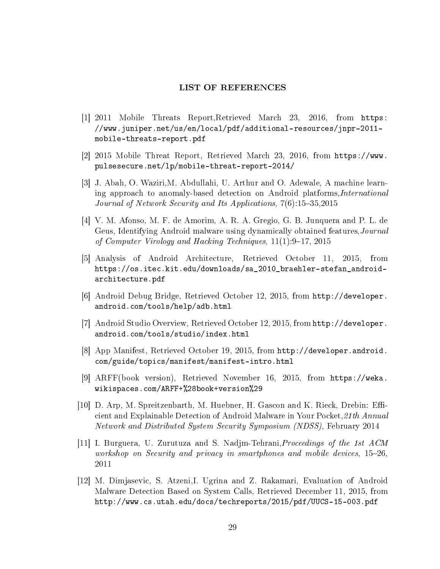#### LIST OF REFERENCES

- <span id="page-39-0"></span>[1] 2011 Mobile Threats Report,Retrieved March 23, 2016, from [https:](https://www.juniper.net/us/en/local/pdf/additional-resources/jnpr-2011-mobile-threats-report.pdf) [//www.juniper.net/us/en/local/pdf/additional-resources/jnpr-2011](https://www.juniper.net/us/en/local/pdf/additional-resources/jnpr-2011-mobile-threats-report.pdf) [mobile-threats-report.pdf](https://www.juniper.net/us/en/local/pdf/additional-resources/jnpr-2011-mobile-threats-report.pdf)
- <span id="page-39-1"></span>[2] 2015 Mobile Threat Report, Retrieved March 23, 2016, from [https://www.](https://www.pulsesecure.net/lp/mobile-threat-report-2014/) [pulsesecure.net/lp/mobile-threat-report-2014/](https://www.pulsesecure.net/lp/mobile-threat-report-2014/)
- [3] J. Abah, O. Waziri,M. Abdullahi, U. Arthur and O. Adewale, A machine learning approach to anomaly-based detection on Android platforms,International Journal of Network Security and Its Applications, 7(6):15–35,2015
- <span id="page-39-4"></span>[4] V. M. Afonso, M. F. de Amorim, A. R. A. Gregio, G. B. Junquera and P. L. de Geus, Identifying Android malware using dynamically obtained features,Journal of Computer Virology and Hacking Techniques, 11(1):9–17, 2015
- <span id="page-39-2"></span>[5] Analysis of Android Architecture, Retrieved October 11, 2015, from [https://os.itec.kit.edu/downloads/sa\\_2010\\_braehler-stefan\\_android](https://os.itec.kit.edu/downloads/sa_2010_braehler-stefan_android-architecture.pdf)[architecture.pdf](https://os.itec.kit.edu/downloads/sa_2010_braehler-stefan_android-architecture.pdf)
- <span id="page-39-9"></span>[6] Android Debug Bridge, Retrieved October 12, 2015, from [http://developer.](http://developer.android.com/tools/help/adb.html) [android.com/tools/help/adb.html](http://developer.android.com/tools/help/adb.html)
- <span id="page-39-8"></span>[7] Android Studio Overview, Retrieved October 12, 2015, from [http://developer.](http://developer.android.com/tools/studio/index.html) [android.com/tools/studio/index.html](http://developer.android.com/tools/studio/index.html)
- <span id="page-39-3"></span>[8] App Manifest, Retrieved October 19, 2015, from [http://developer.android.](http://developer.android.com/guide/topics/manifest/manifest-intro.html) [com/guide/topics/manifest/manifest-intro.html](http://developer.android.com/guide/topics/manifest/manifest-intro.html)
- <span id="page-39-7"></span>[9] ARFF(book version), Retrieved November 16, 2015, from [https://weka.](https://weka.wikispaces.com/ARFF+%28book+version%29) [wikispaces.com/ARFF+%28book+version%29](https://weka.wikispaces.com/ARFF+%28book+version%29)
- <span id="page-39-6"></span>[10] D. Arp, M. Spreitzenbarth, M. Huebner, H. Gascon and K. Rieck, Drebin: Efficient and Explainable Detection of Android Malware in Your Pocket,21th Annual Network and Distributed System Security Symposium (NDSS), February 2014
- <span id="page-39-10"></span>[11] I. Burguera, U. Zurutuza and S. Nadjm-Tehrani, Proceedings of the 1st ACM workshop on Security and privacy in smartphones and mobile devices, 15–26, 2011
- <span id="page-39-5"></span>[12] M. Dimjasevic, S. Atzeni,I. Ugrina and Z. Rakamari, Evaluation of Android Malware Detection Based on System Calls, Retrieved December 11, 2015, from <http://www.cs.utah.edu/docs/techreports/2015/pdf/UUCS-15-003.pdf>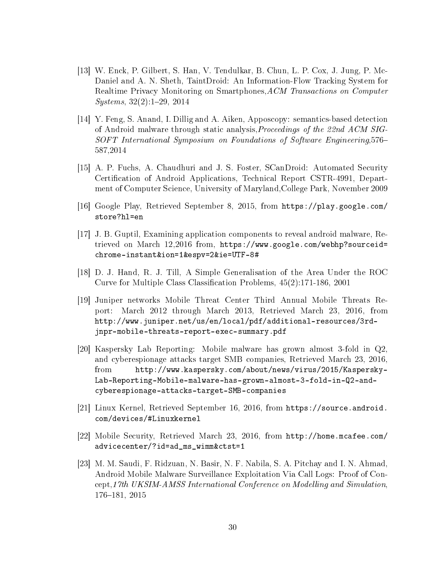- <span id="page-40-5"></span>[13] W. Enck, P. Gilbert, S. Han, V. Tendulkar, B. Chun, L. P. Cox, J. Jung, P. Mc-Daniel and A. N. Sheth, TaintDroid: An Information-Flow Tracking System for Realtime Privacy Monitoring on Smartphones, ACM Transactions on Computer Systems, 32(2):1–29, 2014
- <span id="page-40-3"></span>[14] Y. Feng, S. Anand, I. Dillig and A. Aiken, Apposcopy: semantics-based detection of Android malware through static analysis,Proceedings of the 22nd ACM SIG-SOFT International Symposium on Foundations of Software Engineering,576– 587,2014
- <span id="page-40-4"></span>[15] A. P. Fuchs, A. Chaudhuri and J. S. Foster, SCanDroid: Automated Security Certification of Android Applications, Technical Report CSTR-4991, Department of Computer Science, University of Maryland,College Park, November 2009
- <span id="page-40-7"></span>[16] Google Play, Retrieved September 8, 2015, from [https://play.google.com/](https://play.google.com/store?hl=en) [store?hl=en](https://play.google.com/store?hl=en)
- <span id="page-40-6"></span>[17] J. B. Guptil, Examining application components to reveal android malware, Retrieved on March 12,2016 from, [https://www.google.com/webhp?sourceid=](https://www.google.com/webhp?sourceid=chrome-instant&ion=1&espv=2&ie=UTF-8#) [chrome-instant&ion=1&espv=2&ie=UTF-8#](https://www.google.com/webhp?sourceid=chrome-instant&ion=1&espv=2&ie=UTF-8#)
- <span id="page-40-8"></span>[18] D. J. Hand, R. J. Till, A Simple Generalisation of the Area Under the ROC Curve for Multiple Class Classification Problems, 45(2):171-186, 2001
- [19] Juniper networks Mobile Threat Center Third Annual Mobile Threats Report: March 2012 through March 2013, Retrieved March 23, 2016, from [http://www.juniper.net/us/en/local/pdf/additional-resources/3rd](http://www.juniper.net/us/en/local/pdf/additional-resources/3rd-jnpr-mobile-threats-report-exec-summary.pdf)[jnpr-mobile-threats-report-exec-summary.pdf](http://www.juniper.net/us/en/local/pdf/additional-resources/3rd-jnpr-mobile-threats-report-exec-summary.pdf)
- <span id="page-40-1"></span>[20] Kaspersky Lab Reporting: Mobile malware has grown almost 3-fold in Q2, and cyberespionage attacks target SMB companies, Retrieved March 23, 2016, from [http://www.kaspersky.com/about/news/virus/2015/Kaspersky-](http://www.kaspersky.com/about/news/virus/2015/Kaspersky-Lab-Reporting-Mobile-malware-has-grown-almost-3-fold-in-Q2-and-cyberespionage-attacks-target-SMB-companies)[Lab-Reporting-Mobile-malware-has-grown-almost-3-fold-in-Q2-and](http://www.kaspersky.com/about/news/virus/2015/Kaspersky-Lab-Reporting-Mobile-malware-has-grown-almost-3-fold-in-Q2-and-cyberespionage-attacks-target-SMB-companies)[cyberespionage-attacks-target-SMB-companies](http://www.kaspersky.com/about/news/virus/2015/Kaspersky-Lab-Reporting-Mobile-malware-has-grown-almost-3-fold-in-Q2-and-cyberespionage-attacks-target-SMB-companies)
- <span id="page-40-2"></span>[21] Linux Kernel, Retrieved September 16, 2016, from [https://source.android.](https://source.android.com/devices/#Linux kernel) [com/devices/#Linuxkernel](https://source.android.com/devices/#Linux kernel)
- [22] Mobile Security, Retrieved March 23, 2016, from [http://home.mcafee.com/](http://home.mcafee.com/advicecenter/?id=ad_ms_wimm&ctst=1) [advicecenter/?id=ad\\_ms\\_wimm&ctst=1](http://home.mcafee.com/advicecenter/?id=ad_ms_wimm&ctst=1)
- <span id="page-40-0"></span>[23] M. M. Saudi, F. Ridzuan, N. Basir, N. F. Nabila, S. A. Pitchay and I. N. Ahmad, Android Mobile Malware Surveillance Exploitation Via Call Logs: Proof of Concept,17th UKSIM-AMSS International Conference on Modelling and Simulation, 176–181, 2015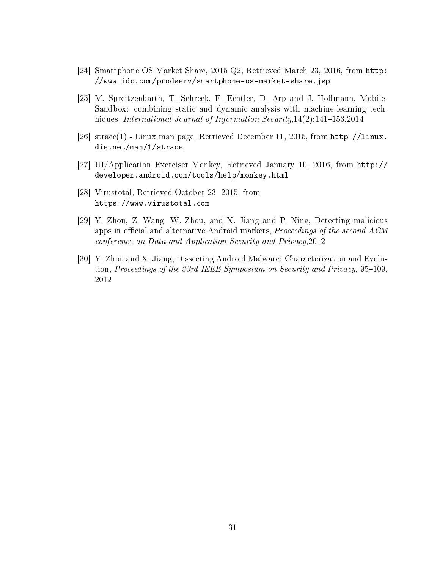- <span id="page-41-0"></span>[24] Smartphone OS Market Share, 2015 Q2, Retrieved March 23, 2016, from [http:](http://www.idc.com/prodserv/smartphone-os-market-share.jsp) [//www.idc.com/prodserv/smartphone-os-market-share.jsp](http://www.idc.com/prodserv/smartphone-os-market-share.jsp)
- <span id="page-41-1"></span>[25] M. Spreitzenbarth, T. Schreck, F. Echtler, D. Arp and J. Hoffmann, Mobile-Sandbox: combining static and dynamic analysis with machine-learning techniques, International Journal of Information Security,14(2):141–153,2014
- <span id="page-41-6"></span>[26] strace(1) - Linux man page, Retrieved December 11, 2015, from [http://linux.](http://linux.die.net/man/1/strace) [die.net/man/1/strace](http://linux.die.net/man/1/strace)
- <span id="page-41-5"></span>[27] UI/Application Exerciser Monkey, Retrieved January 10, 2016, from [http://](http://developer.android.com/tools/help/monkey.html) [developer.android.com/tools/help/monkey.html](http://developer.android.com/tools/help/monkey.html)
- <span id="page-41-4"></span>[28] Virustotal, Retrieved October 23, 2015, from <https://www.virustotal.com>
- <span id="page-41-2"></span>[29] Y. Zhou, Z. Wang, W. Zhou, and X. Jiang and P. Ning, Detecting malicious apps in official and alternative Android markets, *Proceedings of the second ACM* conference on Data and Application Security and Privacy,2012
- <span id="page-41-3"></span>[30] Y. Zhou and X. Jiang, Dissecting Android Malware: Characterization and Evolution, Proceedings of the 33rd IEEE Symposium on Security and Privacy, 95–109, 2012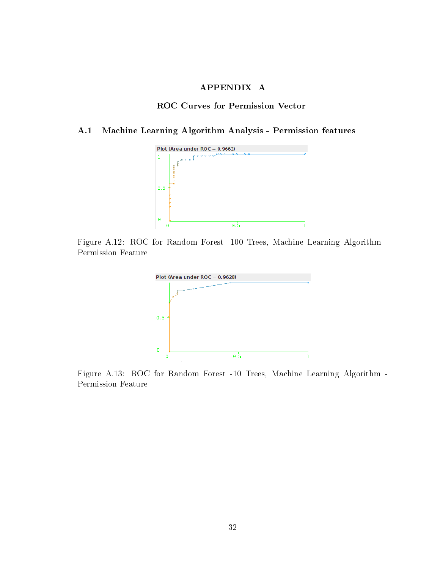## APPENDIX A

### ROC Curves for Permission Vector

#### <span id="page-42-2"></span><span id="page-42-1"></span><span id="page-42-0"></span>A.1 Machine Learning Algorithm Analysis - Permission features



<span id="page-42-3"></span>Figure A.12: ROC for Random Forest -100 Trees, Machine Learning Algorithm - Permission Feature



Figure A.13: ROC for Random Forest -10 Trees, Machine Learning Algorithm - Permission Feature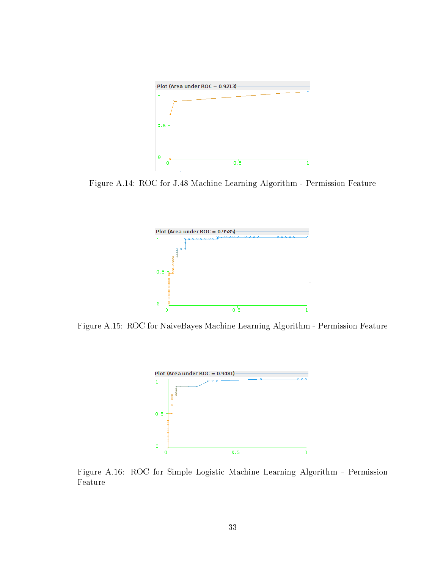<span id="page-43-0"></span>

<span id="page-43-1"></span>Figure A.14: ROC for J.48 Machine Learning Algorithm - Permission Feature



<span id="page-43-2"></span>Figure A.15: ROC for NaiveBayes Machine Learning Algorithm - Permission Feature



Figure A.16: ROC for Simple Logistic Machine Learning Algorithm - Permission Feature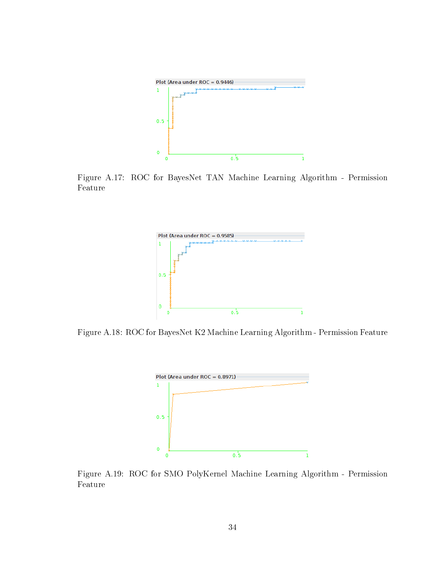<span id="page-44-0"></span>

<span id="page-44-1"></span>Figure A.17: ROC for BayesNet TAN Machine Learning Algorithm - Permission Feature



<span id="page-44-2"></span>Figure A.18: ROC for BayesNet K2 Machine Learning Algorithm - Permission Feature



Figure A.19: ROC for SMO PolyKernel Machine Learning Algorithm - Permission Feature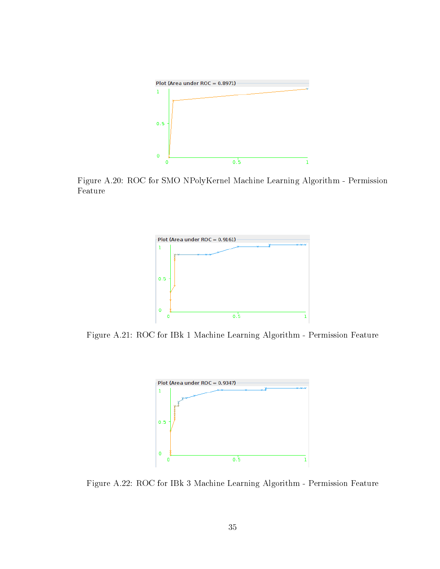<span id="page-45-0"></span>

<span id="page-45-1"></span>Figure A.20: ROC for SMO NPolyKernel Machine Learning Algorithm - Permission Feature



<span id="page-45-2"></span>Figure A.21: ROC for IBk 1 Machine Learning Algorithm - Permission Feature



Figure A.22: ROC for IBk 3 Machine Learning Algorithm - Permission Feature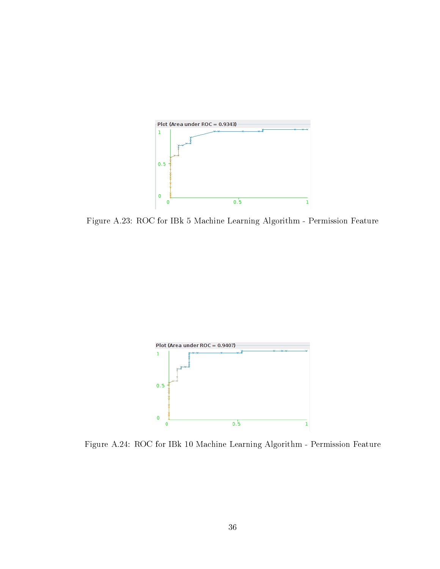<span id="page-46-0"></span>

Figure A.23: ROC for IBk 5 Machine Learning Algorithm - Permission Feature

<span id="page-46-1"></span>

Figure A.24: ROC for IBk 10 Machine Learning Algorithm - Permission Feature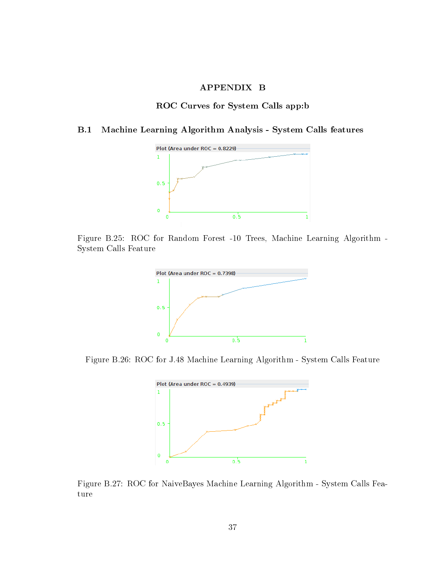## APPENDIX B

#### ROC Curves for System Calls app:b

## <span id="page-47-2"></span><span id="page-47-1"></span><span id="page-47-0"></span>B.1 Machine Learning Algorithm Analysis - System Calls features



<span id="page-47-3"></span>Figure B.25: ROC for Random Forest -10 Trees, Machine Learning Algorithm - System Calls Feature



<span id="page-47-4"></span>Figure B.26: ROC for J.48 Machine Learning Algorithm - System Calls Feature



Figure B.27: ROC for NaiveBayes Machine Learning Algorithm - System Calls Feature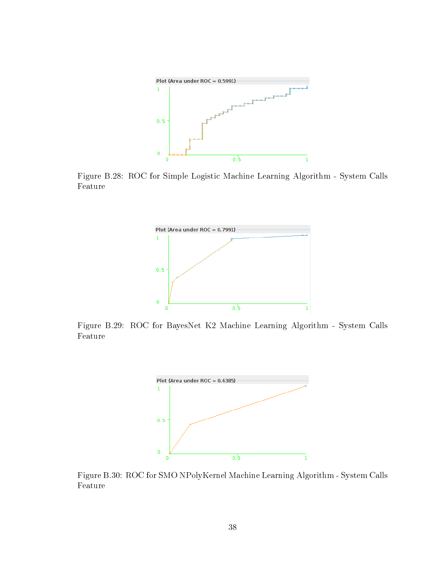<span id="page-48-0"></span>

<span id="page-48-1"></span>Figure B.28: ROC for Simple Logistic Machine Learning Algorithm - System Calls Feature



<span id="page-48-2"></span>Figure B.29: ROC for BayesNet K2 Machine Learning Algorithm - System Calls Feature



Figure B.30: ROC for SMO NPolyKernel Machine Learning Algorithm - System Calls Feature